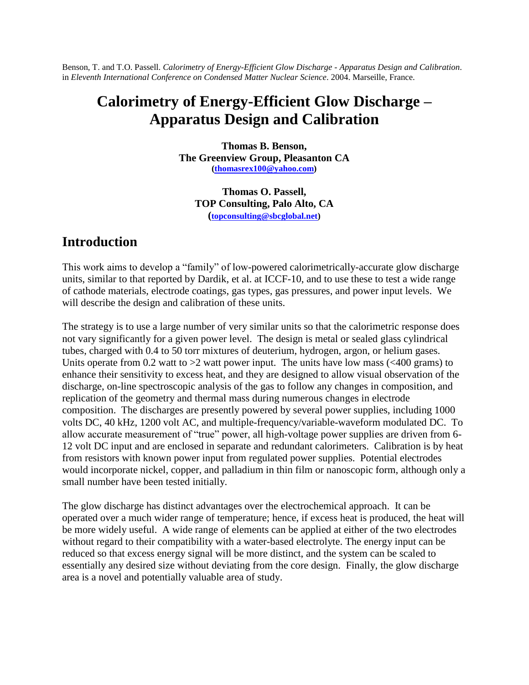Benson, T. and T.O. Passell. *Calorimetry of Energy-Efficient Glow Discharge - Apparatus Design and Calibration*. in *Eleventh International Conference on Condensed Matter Nuclear Science*. 2004. Marseille, France.

# **Calorimetry of Energy-Efficient Glow Discharge – Apparatus Design and Calibration**

**Thomas B. Benson, The Greenview Group, Pleasanton CA ([thomasrex100@yahoo.com\)](mailto:thomasrex100@yahoo.com)**

**Thomas O. Passell, TOP Consulting, Palo Alto, CA ([topconsulting@sbcglobal.net\)](mailto:topconsulting@sbcglobal.net)**

### **Introduction**

This work aims to develop a "family" of low-powered calorimetrically-accurate glow discharge units, similar to that reported by Dardik, et al. at ICCF-10, and to use these to test a wide range of cathode materials, electrode coatings, gas types, gas pressures, and power input levels. We will describe the design and calibration of these units.

The strategy is to use a large number of very similar units so that the calorimetric response does not vary significantly for a given power level. The design is metal or sealed glass cylindrical tubes, charged with 0.4 to 50 torr mixtures of deuterium, hydrogen, argon, or helium gases. Units operate from 0.2 watt to  $>2$  watt power input. The units have low mass ( $<400$  grams) to enhance their sensitivity to excess heat, and they are designed to allow visual observation of the discharge, on-line spectroscopic analysis of the gas to follow any changes in composition, and replication of the geometry and thermal mass during numerous changes in electrode composition. The discharges are presently powered by several power supplies, including 1000 volts DC, 40 kHz, 1200 volt AC, and multiple-frequency/variable-waveform modulated DC. To allow accurate measurement of "true" power, all high-voltage power supplies are driven from 6-12 volt DC input and are enclosed in separate and redundant calorimeters. Calibration is by heat from resistors with known power input from regulated power supplies. Potential electrodes would incorporate nickel, copper, and palladium in thin film or nanoscopic form, although only a small number have been tested initially.

The glow discharge has distinct advantages over the electrochemical approach. It can be operated over a much wider range of temperature; hence, if excess heat is produced, the heat will be more widely useful. A wide range of elements can be applied at either of the two electrodes without regard to their compatibility with a water-based electrolyte. The energy input can be reduced so that excess energy signal will be more distinct, and the system can be scaled to essentially any desired size without deviating from the core design. Finally, the glow discharge area is a novel and potentially valuable area of study.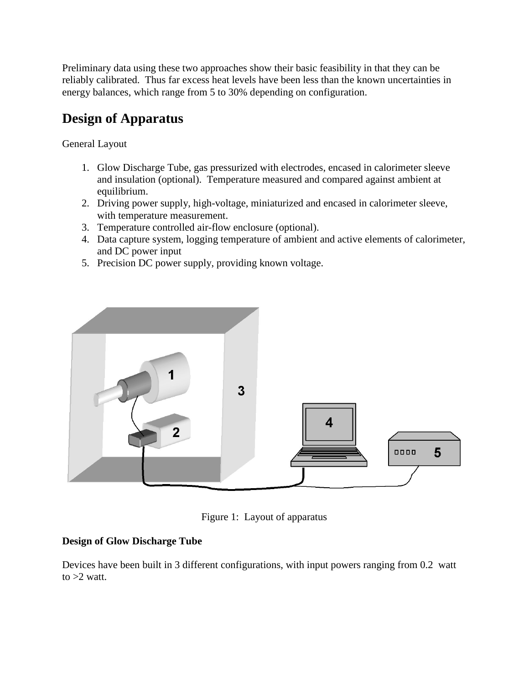Preliminary data using these two approaches show their basic feasibility in that they can be reliably calibrated. Thus far excess heat levels have been less than the known uncertainties in energy balances, which range from 5 to 30% depending on configuration.

# **Design of Apparatus**

General Layout

- 1. Glow Discharge Tube, gas pressurized with electrodes, encased in calorimeter sleeve and insulation (optional). Temperature measured and compared against ambient at equilibrium.
- 2. Driving power supply, high-voltage, miniaturized and encased in calorimeter sleeve, with temperature measurement.
- 3. Temperature controlled air-flow enclosure (optional).
- 4. Data capture system, logging temperature of ambient and active elements of calorimeter, and DC power input
- 5. Precision DC power supply, providing known voltage.



Figure 1: Layout of apparatus

#### **Design of Glow Discharge Tube**

Devices have been built in 3 different configurations, with input powers ranging from 0.2 watt to  $>2$  watt.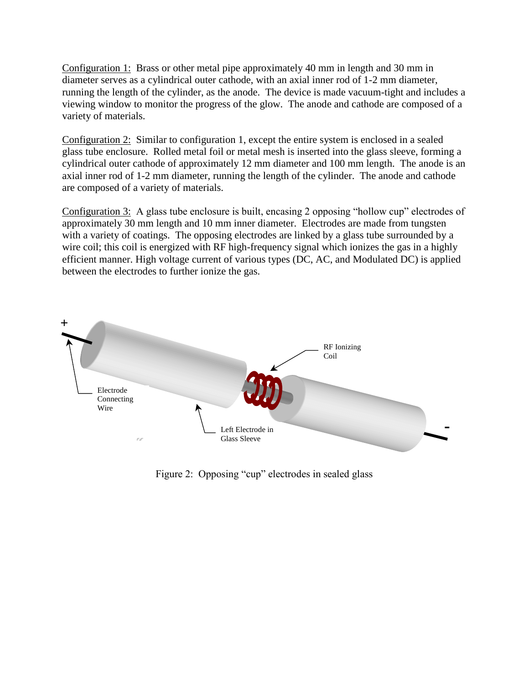Configuration 1: Brass or other metal pipe approximately 40 mm in length and 30 mm in diameter serves as a cylindrical outer cathode, with an axial inner rod of 1-2 mm diameter, running the length of the cylinder, as the anode. The device is made vacuum-tight and includes a viewing window to monitor the progress of the glow. The anode and cathode are composed of a variety of materials.

Configuration 2: Similar to configuration 1, except the entire system is enclosed in a sealed glass tube enclosure. Rolled metal foil or metal mesh is inserted into the glass sleeve, forming a cylindrical outer cathode of approximately 12 mm diameter and 100 mm length. The anode is an axial inner rod of 1-2 mm diameter, running the length of the cylinder. The anode and cathode are composed of a variety of materials.

Configuration 3: A glass tube enclosure is built, encasing 2 opposing "hollow cup" electrodes of approximately 30 mm length and 10 mm inner diameter. Electrodes are made from tungsten with a variety of coatings. The opposing electrodes are linked by a glass tube surrounded by a wire coil; this coil is energized with RF high-frequency signal which ionizes the gas in a highly efficient manner. High voltage current of various types (DC, AC, and Modulated DC) is applied between the electrodes to further ionize the gas.



Figure 2: Opposing "cup" electrodes in sealed glass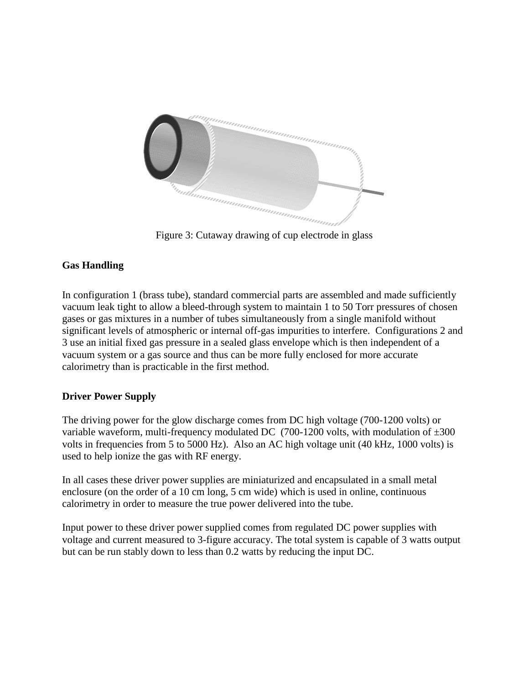

Figure 3: Cutaway drawing of cup electrode in glass

### **Gas Handling**

In configuration 1 (brass tube), standard commercial parts are assembled and made sufficiently vacuum leak tight to allow a bleed-through system to maintain 1 to 50 Torr pressures of chosen gases or gas mixtures in a number of tubes simultaneously from a single manifold without significant levels of atmospheric or internal off-gas impurities to interfere. Configurations 2 and 3 use an initial fixed gas pressure in a sealed glass envelope which is then independent of a vacuum system or a gas source and thus can be more fully enclosed for more accurate calorimetry than is practicable in the first method.

#### **Driver Power Supply**

The driving power for the glow discharge comes from DC high voltage (700-1200 volts) or variable waveform, multi-frequency modulated DC (700-1200 volts, with modulation of  $\pm 300$ ) volts in frequencies from 5 to 5000 Hz). Also an AC high voltage unit (40 kHz, 1000 volts) is used to help ionize the gas with RF energy.

In all cases these driver power supplies are miniaturized and encapsulated in a small metal enclosure (on the order of a 10 cm long, 5 cm wide) which is used in online, continuous calorimetry in order to measure the true power delivered into the tube.

Input power to these driver power supplied comes from regulated DC power supplies with voltage and current measured to 3-figure accuracy. The total system is capable of 3 watts output but can be run stably down to less than 0.2 watts by reducing the input DC.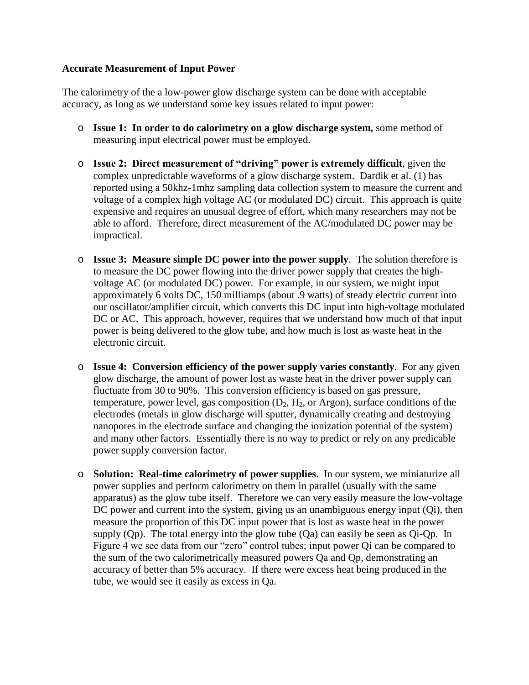#### **Accurate Measurement of Input Power**

The calorimetry of the a low-power glow discharge system can be done with acceptable accuracy, as long as we understand some key issues related to input power:

- o **Issue 1: In order to do calorimetry on a glow discharge system,** some method of measuring input electrical power must be employed.
- o **Issue2:Directmeasurementof"driving"powerisextremely difficult**, given the complex unpredictable waveforms of a glow discharge system. Dardik et al. (1) has reported using a 50khz-1mhz sampling data collection system to measure the current and voltage of a complex high voltage AC (or modulated DC) circuit. This approach is quite expensive and requires an unusual degree of effort, which many researchers may not be able to afford. Therefore, direct measurement of the AC/modulated DC power may be impractical.
- o **Issue 3: Measure simple DC power into the power supply**. The solution therefore is to measure the DC power flowing into the driver power supply that creates the highvoltage AC (or modulated DC) power. For example, in our system, we might input approximately 6 volts DC, 150 milliamps (about .9 watts) of steady electric current into our oscillator/amplifier circuit, which converts this DC input into high-voltage modulated DC or AC. This approach, however, requires that we understand how much of that input power is being delivered to the glow tube, and how much is lost as waste heat in the electronic circuit.
- o **Issue 4: Conversion efficiency of the power supply varies constantly**. For any given glow discharge, the amount of power lost as waste heat in the driver power supply can fluctuate from 30 to 90%. This conversion efficiency is based on gas pressure, temperature, power level, gas composition  $(D_2, H_2, \text{or Argon})$ , surface conditions of the electrodes (metals in glow discharge will sputter, dynamically creating and destroying nanopores in the electrode surface and changing the ionization potential of the system) and many other factors. Essentially there is no way to predict or rely on any predicable power supply conversion factor.
- o **Solution: Real-time calorimetry of power supplies**. In our system, we miniaturize all power supplies and perform calorimetry on them in parallel (usually with the same apparatus) as the glow tube itself. Therefore we can very easily measure the low-voltage DC power and current into the system, giving us an unambiguous energy input (Qi), then measure the proportion of this DC input power that is lost as waste heat in the power supply  $(Qp)$ . The total energy into the glow tube  $(Qa)$  can easily be seen as  $Qi-Qp$ . In Figure 4 we see data from our "zero" control tubes; input power Qi can be compared to the sum of the two calorimetrically measured powers Qa and Qp, demonstrating an accuracy of better than 5% accuracy. If there were excess heat being produced in the tube, we would see it easily as excess in Qa.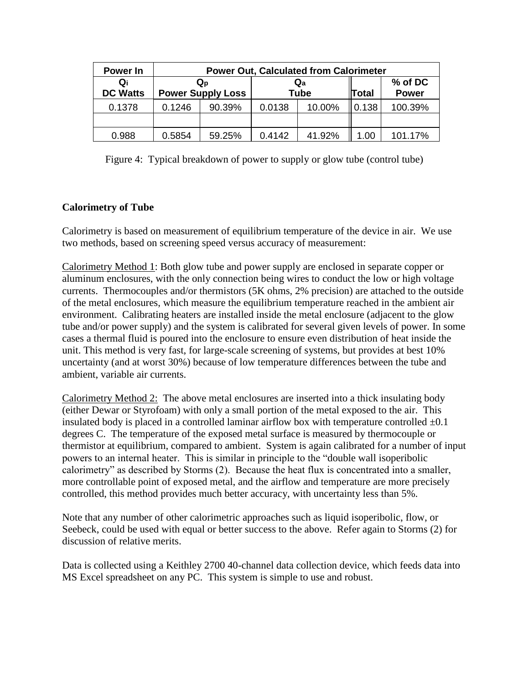| Power In              | <b>Power Out, Calculated from Calorimeter</b> |        |                                          |        |       |                         |
|-----------------------|-----------------------------------------------|--------|------------------------------------------|--------|-------|-------------------------|
| Qi<br><b>DC Watts</b> | $Q_{D}$<br><b>Power Supply Loss</b>           |        | $\mathbf{Q}_{\mathbf{a}}$<br><b>Tube</b> |        | Total | % of DC<br><b>Power</b> |
| 0.1378                | 0.1246                                        | 90.39% | 0.0138                                   | 10.00% | 0.138 | 100.39%                 |
|                       |                                               |        |                                          |        |       |                         |
| 0.988                 | 0.5854                                        | 59.25% | 0.4142                                   | 41.92% | 1.00  | 101.17%                 |

Figure 4: Typical breakdown of power to supply or glow tube (control tube)

### **Calorimetry of Tube**

Calorimetry is based on measurement of equilibrium temperature of the device in air. We use two methods, based on screening speed versus accuracy of measurement:

Calorimetry Method 1: Both glow tube and power supply are enclosed in separate copper or aluminum enclosures, with the only connection being wires to conduct the low or high voltage currents. Thermocouples and/or thermistors (5K ohms, 2% precision) are attached to the outside of the metal enclosures, which measure the equilibrium temperature reached in the ambient air environment. Calibrating heaters are installed inside the metal enclosure (adjacent to the glow tube and/or power supply) and the system is calibrated for several given levels of power. In some cases a thermal fluid is poured into the enclosure to ensure even distribution of heat inside the unit. This method is very fast, for large-scale screening of systems, but provides at best 10% uncertainty (and at worst 30%) because of low temperature differences between the tube and ambient, variable air currents.

Calorimetry Method 2: The above metal enclosures are inserted into a thick insulating body (either Dewar or Styrofoam) with only a small portion of the metal exposed to the air. This insulated body is placed in a controlled laminar airflow box with temperature controlled  $\pm 0.1$ degrees C. The temperature of the exposed metal surface is measured by thermocouple or thermistor at equilibrium, compared to ambient. System is again calibrated for a number of input powers to an internal heater. This is similar in principle to the "double wall isoperibolic calorimetry" as described by Storms (2). Because the heat flux is concentrated into a smaller, more controllable point of exposed metal, and the airflow and temperature are more precisely controlled, this method provides much better accuracy, with uncertainty less than 5%.

Note that any number of other calorimetric approaches such as liquid isoperibolic, flow, or Seebeck, could be used with equal or better success to the above. Refer again to Storms (2) for discussion of relative merits.

Data is collected using a Keithley 2700 40-channel data collection device, which feeds data into MS Excel spreadsheet on any PC. This system is simple to use and robust.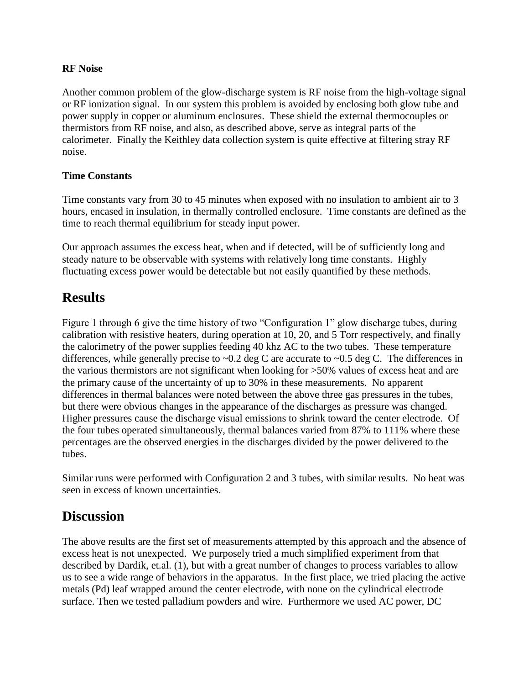#### **RF Noise**

Another common problem of the glow-discharge system is RF noise from the high-voltage signal or RF ionization signal. In our system this problem is avoided by enclosing both glow tube and power supply in copper or aluminum enclosures. These shield the external thermocouples or thermistors from RF noise, and also, as described above, serve as integral parts of the calorimeter. Finally the Keithley data collection system is quite effective at filtering stray RF noise.

#### **Time Constants**

Time constants vary from 30 to 45 minutes when exposed with no insulation to ambient air to 3 hours, encased in insulation, in thermally controlled enclosure. Time constants are defined as the time to reach thermal equilibrium for steady input power.

Our approach assumes the excess heat, when and if detected, will be of sufficiently long and steady nature to be observable with systems with relatively long time constants. Highly fluctuating excess power would be detectable but not easily quantified by these methods.

### **Results**

Figure 1 through 6 give the time history of two "Configuration 1" glow discharge tubes, during calibration with resistive heaters, during operation at 10, 20, and 5 Torr respectively, and finally the calorimetry of the power supplies feeding 40 khz AC to the two tubes. These temperature differences, while generally precise to  $\sim 0.2$  deg C are accurate to  $\sim 0.5$  deg C. The differences in the various thermistors are not significant when looking for >50% values of excess heat and are the primary cause of the uncertainty of up to 30% in these measurements. No apparent differences in thermal balances were noted between the above three gas pressures in the tubes, but there were obvious changes in the appearance of the discharges as pressure was changed. Higher pressures cause the discharge visual emissions to shrink toward the center electrode. Of the four tubes operated simultaneously, thermal balances varied from 87% to 111% where these percentages are the observed energies in the discharges divided by the power delivered to the tubes.

Similar runs were performed with Configuration 2 and 3 tubes, with similar results. No heat was seen in excess of known uncertainties.

### **Discussion**

The above results are the first set of measurements attempted by this approach and the absence of excess heat is not unexpected. We purposely tried a much simplified experiment from that described by Dardik, et.al. (1), but with a great number of changes to process variables to allow us to see a wide range of behaviors in the apparatus. In the first place, we tried placing the active metals (Pd) leaf wrapped around the center electrode, with none on the cylindrical electrode surface. Then we tested palladium powders and wire. Furthermore we used AC power, DC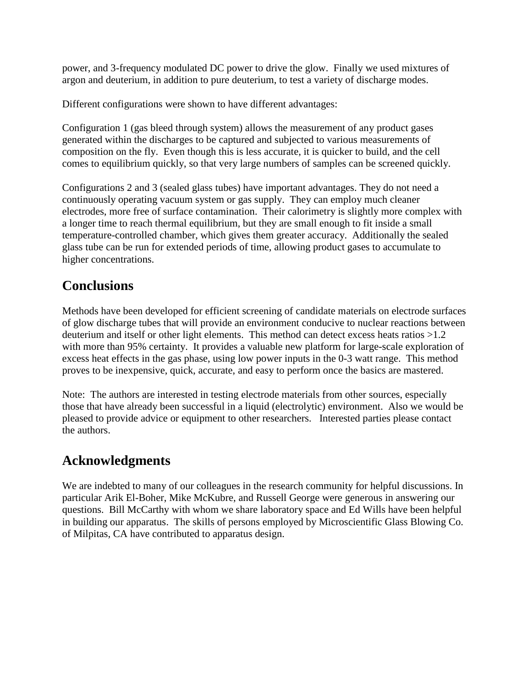power, and 3-frequency modulated DC power to drive the glow. Finally we used mixtures of argon and deuterium, in addition to pure deuterium, to test a variety of discharge modes.

Different configurations were shown to have different advantages:

Configuration 1 (gas bleed through system) allows the measurement of any product gases generated within the discharges to be captured and subjected to various measurements of composition on the fly. Even though this is less accurate, it is quicker to build, and the cell comes to equilibrium quickly, so that very large numbers of samples can be screened quickly.

Configurations 2 and 3 (sealed glass tubes) have important advantages. They do not need a continuously operating vacuum system or gas supply. They can employ much cleaner electrodes, more free of surface contamination. Their calorimetry is slightly more complex with a longer time to reach thermal equilibrium, but they are small enough to fit inside a small temperature-controlled chamber, which gives them greater accuracy. Additionally the sealed glass tube can be run for extended periods of time, allowing product gases to accumulate to higher concentrations.

## **Conclusions**

Methods have been developed for efficient screening of candidate materials on electrode surfaces of glow discharge tubes that will provide an environment conducive to nuclear reactions between deuterium and itself or other light elements. This method can detect excess heats ratios >1.2 with more than 95% certainty. It provides a valuable new platform for large-scale exploration of excess heat effects in the gas phase, using low power inputs in the 0-3 watt range. This method proves to be inexpensive, quick, accurate, and easy to perform once the basics are mastered.

Note: The authors are interested in testing electrode materials from other sources, especially those that have already been successful in a liquid (electrolytic) environment. Also we would be pleased to provide advice or equipment to other researchers. Interested parties please contact the authors.

## **Acknowledgments**

We are indebted to many of our colleagues in the research community for helpful discussions. In particular Arik El-Boher, Mike McKubre, and Russell George were generous in answering our questions. Bill McCarthy with whom we share laboratory space and Ed Wills have been helpful in building our apparatus. The skills of persons employed by Microscientific Glass Blowing Co. of Milpitas, CA have contributed to apparatus design.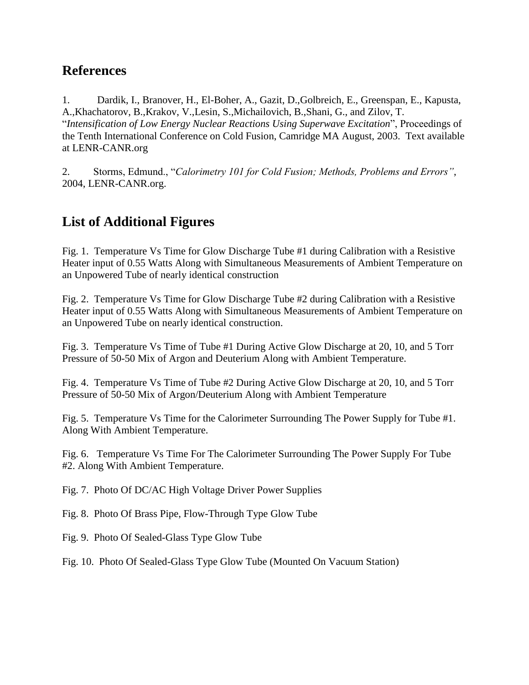### **References**

1. Dardik, I., Branover, H., El-Boher, A., Gazit, D.,Golbreich, E., Greenspan, E., Kapusta, A.,Khachatorov, B.,Krakov, V.,Lesin, S.,Michailovich, B.,Shani, G., and Zilov, T. "*Intensification of Low Energy Nuclear Reactions Using Superwave Excitation*", Proceedings of the Tenth International Conference on Cold Fusion, Camridge MA August, 2003. Text available at LENR-CANR.org

2. Storms, Edmund., "*Calorimetry 101 for Cold Fusion; Methods, Problems and Errors"*, 2004, LENR-CANR.org.

## **List of Additional Figures**

Fig. 1. Temperature Vs Time for Glow Discharge Tube #1 during Calibration with a Resistive Heater input of 0.55 Watts Along with Simultaneous Measurements of Ambient Temperature on an Unpowered Tube of nearly identical construction

Fig. 2. Temperature Vs Time for Glow Discharge Tube #2 during Calibration with a Resistive Heater input of 0.55 Watts Along with Simultaneous Measurements of Ambient Temperature on an Unpowered Tube on nearly identical construction.

Fig. 3. Temperature Vs Time of Tube #1 During Active Glow Discharge at 20, 10, and 5 Torr Pressure of 50-50 Mix of Argon and Deuterium Along with Ambient Temperature.

Fig. 4. Temperature Vs Time of Tube #2 During Active Glow Discharge at 20, 10, and 5 Torr Pressure of 50-50 Mix of Argon/Deuterium Along with Ambient Temperature

Fig. 5. Temperature Vs Time for the Calorimeter Surrounding The Power Supply for Tube #1. Along With Ambient Temperature.

Fig. 6. Temperature Vs Time For The Calorimeter Surrounding The Power Supply For Tube #2. Along With Ambient Temperature.

Fig. 7. Photo Of DC/AC High Voltage Driver Power Supplies

Fig. 8. Photo Of Brass Pipe, Flow-Through Type Glow Tube

Fig. 9. Photo Of Sealed-Glass Type Glow Tube

Fig. 10. Photo Of Sealed-Glass Type Glow Tube (Mounted On Vacuum Station)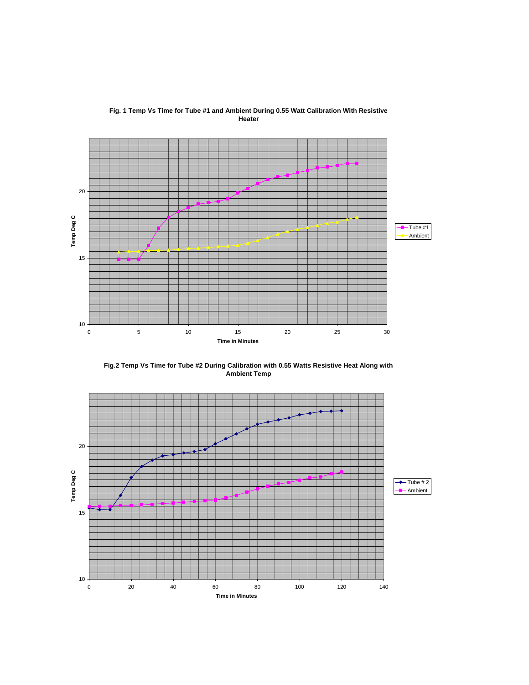

**Fig. 1 Temp Vs Time for Tube #1 and Ambient During 0.55 Watt Calibration With Resistive Heater**

**Fig.2 Temp Vs Time for Tube #2 During Calibration with 0.55 Watts Resistive Heat Along with Ambient Temp**

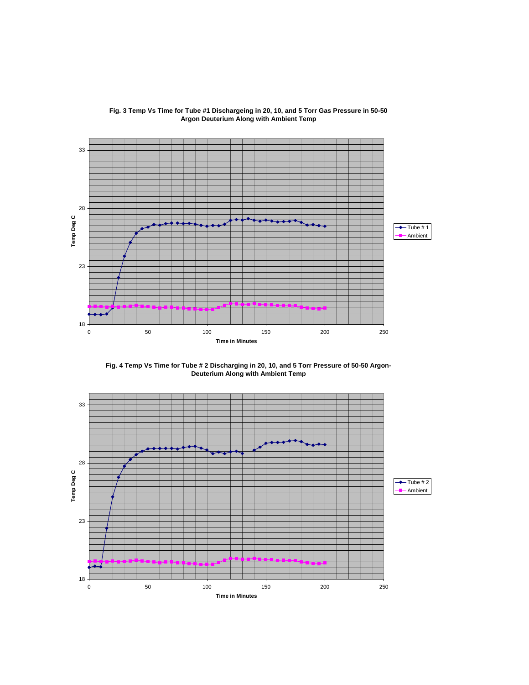

#### **Fig. 3 Temp Vs Time for Tube #1 Dischargeing in 20, 10, and 5 Torr Gas Pressure in 50-50 Argon Deuterium Along with Ambient Temp**

**Fig. 4 Temp Vs Time for Tube # 2 Discharging in 20, 10, and 5 Torr Pressure of 50-50 Argon-Deuterium Along with Ambient Temp**

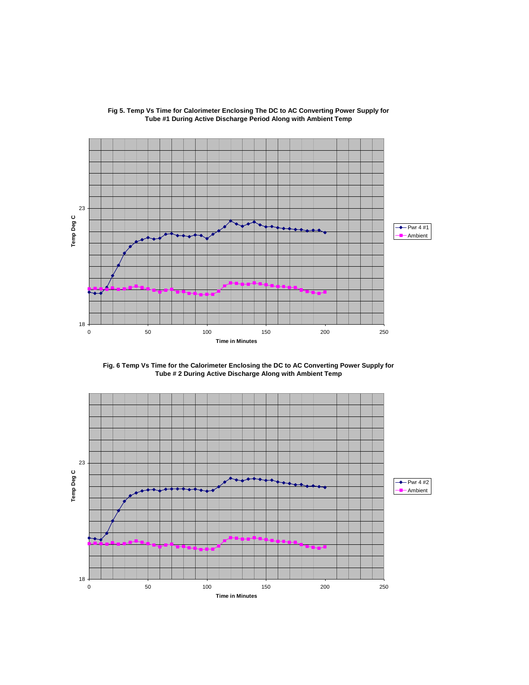

#### **Fig 5. Temp Vs Time for Calorimeter Enclosing The DC to AC Converting Power Supply for Tube #1 During Active Discharge Period Along with Ambient Temp**

**Fig. 6 Temp Vs Time for the Calorimeter Enclosing the DC to AC Converting Power Supply for Tube # 2 During Active Discharge Along with Ambient Temp**

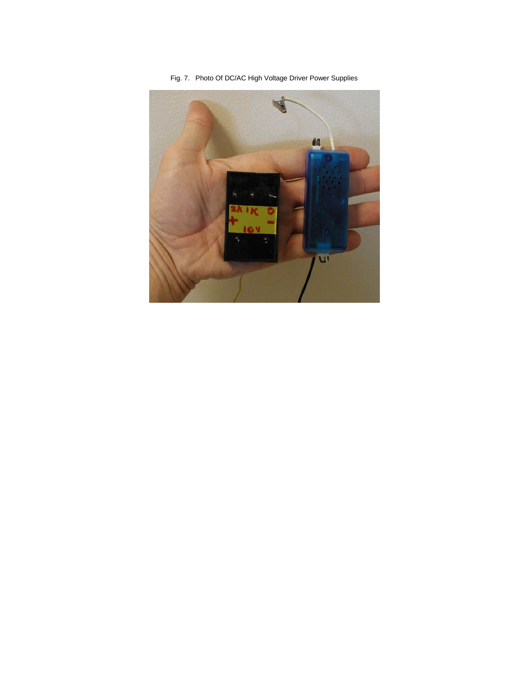Fig. 7. Photo Of DC/AC High Voltage Driver Power Supplies

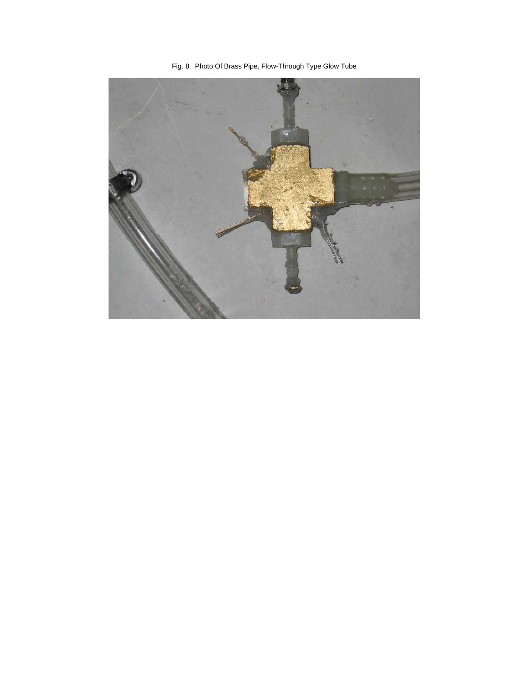Fig. 8. Photo Of Brass Pipe, Flow-Through Type Glow Tube

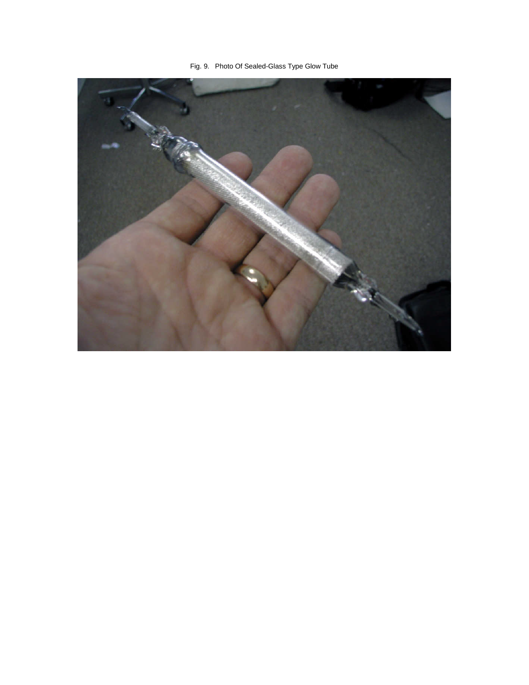Fig. 9. Photo Of Sealed-Glass Type Glow Tube